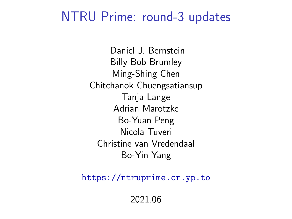#### NTRU Prime: round-3 updates

Daniel J. Bernstein Billy Bob Brumley Ming-Shing Chen Chitchanok Chuengsatiansup Tanja Lange Adrian Marotzke Bo-Yuan Peng Nicola Tuveri Christine van Vredendaal Bo-Yin Yang

<https://ntruprime.cr.yp.to>

2021.06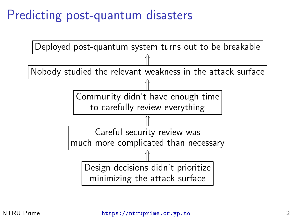### Predicting post-quantum disasters

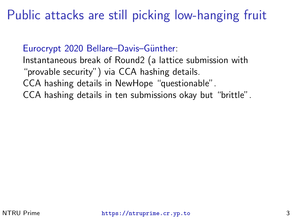#### Public attacks are still picking low-hanging fruit

Eurocrypt 2020 Bellare–Davis–Günther:

Instantaneous break of Round2 (a lattice submission with "provable security") via CCA hashing details. CCA hashing details in NewHope "questionable". CCA hashing details in ten submissions okay but "brittle".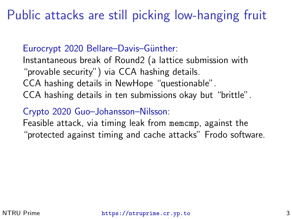#### Public attacks are still picking low-hanging fruit

#### Eurocrypt 2020 Bellare–Davis–Günther:

Instantaneous break of Round2 (a lattice submission with "provable security") via CCA hashing details. CCA hashing details in NewHope "questionable". CCA hashing details in ten submissions okay but "brittle".

#### [Crypto 2020 Guo–Johansson–Nilsson:](https://eprint.iacr.org/2020/743)

Feasible attack, via timing leak from memcmp, against the "protected against timing and cache attacks" Frodo software.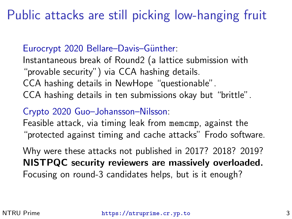#### Public attacks are still picking low-hanging fruit

#### Eurocrypt 2020 Bellare–Davis–Günther:

Instantaneous break of Round2 (a lattice submission with "provable security") via CCA hashing details. CCA hashing details in NewHope "questionable". CCA hashing details in ten submissions okay but "brittle".

#### [Crypto 2020 Guo–Johansson–Nilsson:](https://eprint.iacr.org/2020/743)

Feasible attack, via timing leak from memcmp, against the "protected against timing and cache attacks" Frodo software.

Why were these attacks not published in 2017? 2018? 2019? NISTPQC security reviewers are massively overloaded. Focusing on round-3 candidates helps, but is it enough?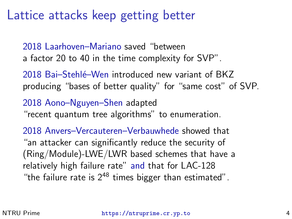#### Lattice attacks keep getting better

[2018 Laarhoven–Mariano](https://eprint.iacr.org/2018/079) saved "between a factor 20 to 40 in the time complexity for SVP".

2018 Bai–Stehlé–Wen introduced new variant of BKZ producing "bases of better quality" for "same cost" of SVP.

[2018 Aono–Nguyen–Shen](https://eprint.iacr.org/2018/546) adapted

"recent quantum tree algorithms" to enumeration.

[2018 Anvers–Vercauteren–Verbauwhede](https://eprint.iacr.org/2018/1089) showed that "an attacker can significantly reduce the security of (Ring/Module)-LWE/LWR based schemes that have a relatively high failure rate" [and](https://eprint.iacr.org/2018/1172) that for LAC-128 "the failure rate is  $2^{48}$  times bigger than estimated".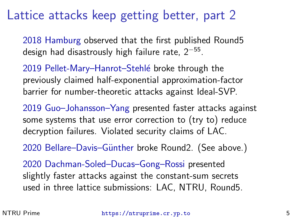#### Lattice attacks keep getting better, part 2

[2018 Hamburg](https://groups.google.com/a/list.nist.gov/g/pqc-forum/c/YsGkKEJTt5c/m/V0eivEroAAAJ) observed that the first published Round5 design had disastrously high failure rate,  $2^{-55}.$ 

2019 Pellet-Mary-Hanrot-Stehlé broke through the previously claimed half-exponential approximation-factor barrier for number-theoretic attacks against Ideal-SVP.

[2019 Guo–Johansson–Yang](https://eprint.iacr.org/2019/1308) presented faster attacks against some systems that use error correction to (try to) reduce decryption failures. Violated security claims of LAC.

2020 Bellare–Davis–Günther broke Round2. (See above.)

[2020 Dachman-Soled–Ducas–Gong–Rossi](https://eprint.iacr.org/2020/292) presented slightly faster attacks against the constant-sum secrets used in three lattice submissions: LAC, NTRU, Round5.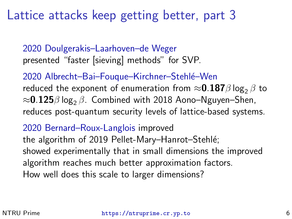#### Lattice attacks keep getting better, part 3

[2020 Doulgerakis–Laarhoven–de Weger](https://eprint.iacr.org/2020/487) presented "faster [sieving] methods" for SVP.

2020 Albrecht–Bai–Fouque–Kirchner–Stehlé–Wen reduced the exponent of enumeration from  $\approx 0.187\beta \log_2 \beta$  to  $\approx$ 0.125 $\beta$  log<sub>2</sub>  $\beta$ . Combined with 2018 Aono–Nguyen–Shen, reduces post-quantum security levels of lattice-based systems.

[2020 Bernard–Roux-Langlois](https://eprint.iacr.org/2020/1081) improved

the algorithm of 2019 Pellet-Mary–Hanrot–Stehlé; showed experimentally that in small dimensions the improved algorithm reaches much better approximation factors. How well does this scale to larger dimensions?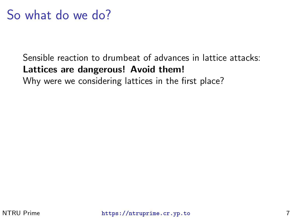#### So what do we do?

#### Sensible reaction to drumbeat of advances in lattice attacks: Lattices are dangerous! Avoid them!

Why were we considering lattices in the first place?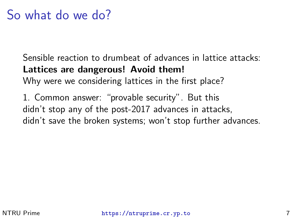#### So what do we do?

Sensible reaction to drumbeat of advances in lattice attacks: Lattices are dangerous! Avoid them!

Why were we considering lattices in the first place?

1. Common answer: "provable security". But this didn't stop any of the post-2017 advances in attacks, didn't save the broken systems; won't stop further advances.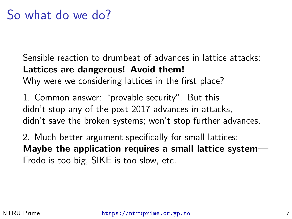Sensible reaction to drumbeat of advances in lattice attacks: Lattices are dangerous! Avoid them!

Why were we considering lattices in the first place?

1. Common answer: "provable security". But this didn't stop any of the post-2017 advances in attacks, didn't save the broken systems; won't stop further advances.

2. Much better argument specifically for small lattices: Maybe the application requires a small lattice system— Frodo is too big, SIKE is too slow, etc.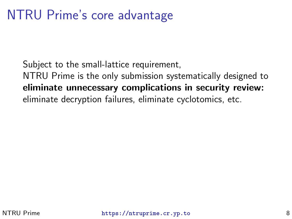#### NTRU Prime's core advantage

Subject to the small-lattice requirement, NTRU Prime is the only submission systematically designed to eliminate unnecessary complications in security review: eliminate decryption failures, eliminate cyclotomics, etc.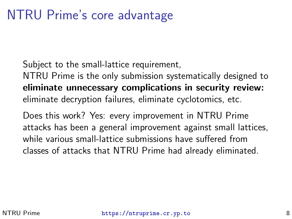#### NTRU Prime's core advantage

Subject to the small-lattice requirement,

NTRU Prime is the only submission systematically designed to eliminate unnecessary complications in security review: eliminate decryption failures, eliminate cyclotomics, etc.

Does this work? Yes: every improvement in NTRU Prime attacks has been a general improvement against small lattices, while various small-lattice submissions have suffered from classes of attacks that NTRU Prime had already eliminated.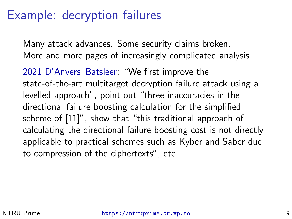#### Example: decryption failures

Many attack advances. Some security claims broken. More and more pages of increasingly complicated analysis.

[2021 D'Anvers–Batsleer:](https://eprint.iacr.org/2021/193) "We first improve the state-of-the-art multitarget decryption failure attack using a levelled approach", point out "three inaccuracies in the directional failure boosting calculation for the simplified scheme of [11]", show that "this traditional approach of calculating the directional failure boosting cost is not directly applicable to practical schemes such as Kyber and Saber due to compression of the ciphertexts", etc.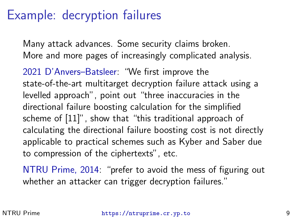#### Example: decryption failures

Many attack advances. Some security claims broken. More and more pages of increasingly complicated analysis.

[2021 D'Anvers–Batsleer:](https://eprint.iacr.org/2021/193) "We first improve the state-of-the-art multitarget decryption failure attack using a levelled approach", point out "three inaccuracies in the directional failure boosting calculation for the simplified scheme of [11]", show that "this traditional approach of calculating the directional failure boosting cost is not directly applicable to practical schemes such as Kyber and Saber due to compression of the ciphertexts", etc.

[NTRU Prime, 2014:](https://blog.cr.yp.to/20140213-ideal.html) "prefer to avoid the mess of figuring out whether an attacker can trigger decryption failures."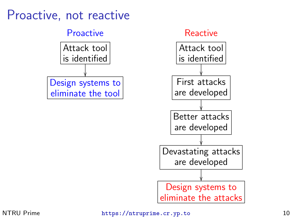#### Proactive, not reactive



#### NTRU Prime <https://ntruprime.cr.yp.to> 10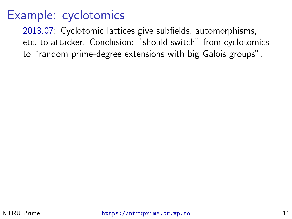[2013.07:](https://cr.yp.to/talks.html#2013.07.18) Cyclotomic lattices give subfields, automorphisms, etc. to attacker. Conclusion: "should switch" from cyclotomics to "random prime-degree extensions with big Galois groups".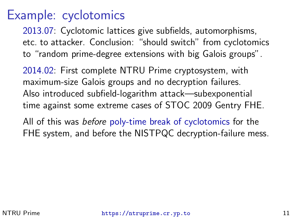[2013.07:](https://cr.yp.to/talks.html#2013.07.18) Cyclotomic lattices give subfields, automorphisms, etc. to attacker. Conclusion: "should switch" from cyclotomics to "random prime-degree extensions with big Galois groups".

[2014.02:](https://blog.cr.yp.to/20140213-ideal.html) First complete NTRU Prime cryptosystem, with maximum-size Galois groups and no decryption failures. Also introduced subfield-logarithm attack—subexponential time against some extreme cases of STOC 2009 Gentry FHE.

All of this was before [poly-time break of cyclotomics](https://epubs.siam.org/doi/abs/10.1137/1.9781611974331.ch64) for the FHE system, and before the NISTPQC decryption-failure mess.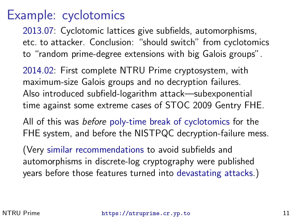[2013.07:](https://cr.yp.to/talks.html#2013.07.18) Cyclotomic lattices give subfields, automorphisms, etc. to attacker. Conclusion: "should switch" from cyclotomics to "random prime-degree extensions with big Galois groups".

[2014.02:](https://blog.cr.yp.to/20140213-ideal.html) First complete NTRU Prime cryptosystem, with maximum-size Galois groups and no decryption failures. Also introduced subfield-logarithm attack—subexponential time against some extreme cases of STOC 2009 Gentry FHE.

All of this was before [poly-time break of cyclotomics](https://epubs.siam.org/doi/abs/10.1137/1.9781611974331.ch64) for the FHE system, and before the NISTPQC decryption-failure mess.

(Very [similar](https://www.ecrypt.eu.org/ecrypt1/documents/D.SPA.10-1.1.pdf) [recommendations](https://cr.yp.to/papers.html#curve25519) to avoid subfields and automorphisms in discrete-log cryptography were published years before those features turned into [devastating attacks.](https://eprint.iacr.org/2013/400))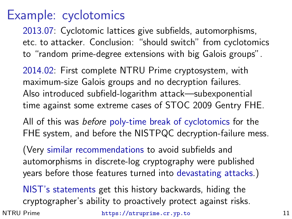[2013.07:](https://cr.yp.to/talks.html#2013.07.18) Cyclotomic lattices give subfields, automorphisms, etc. to attacker. Conclusion: "should switch" from cyclotomics to "random prime-degree extensions with big Galois groups".

[2014.02:](https://blog.cr.yp.to/20140213-ideal.html) First complete NTRU Prime cryptosystem, with maximum-size Galois groups and no decryption failures. Also introduced subfield-logarithm attack—subexponential time against some extreme cases of STOC 2009 Gentry FHE.

All of this was before [poly-time break of cyclotomics](https://epubs.siam.org/doi/abs/10.1137/1.9781611974331.ch64) for the FHE system, and before the NISTPQC decryption-failure mess.

(Very [similar](https://www.ecrypt.eu.org/ecrypt1/documents/D.SPA.10-1.1.pdf) [recommendations](https://cr.yp.to/papers.html#curve25519) to avoid subfields and automorphisms in discrete-log cryptography were published years before those features turned into [devastating attacks.](https://eprint.iacr.org/2013/400))

[NIST's](https://nvlpubs.nist.gov/nistpubs/ir/2020/NIST.IR.8309.pdf) [statements](https://archive.is/RG14h) get this history backwards, hiding the cryptographer's ability to proactively protect against risks.

NTRU Prime <https://ntruprime.cr.yp.to> 11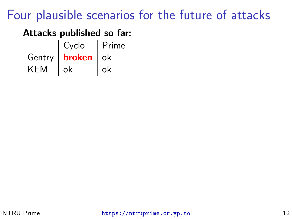#### Attacks published so far:

|        | Cyclo  | Prime |
|--------|--------|-------|
| Gentry | broken | ∵ok i |
| KEM    | ok     | ok    |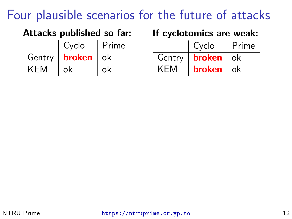#### Attacks published so far: If cyclotomics are weak:

|        | Cyclo              | Prime |
|--------|--------------------|-------|
| Gentry | <b>broken</b>   ok |       |
| KEM    | ok                 | ok    |

|            | Cyclo  | Prime |
|------------|--------|-------|
| Gentry     | broken | .ok   |
| <b>KEM</b> | broken | .ok   |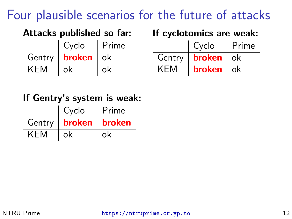|  | Attacks published so far: |  |  |
|--|---------------------------|--|--|
|--|---------------------------|--|--|

|        | Cyclo     | Prime |
|--------|-----------|-------|
| Gentry | broken ok |       |
| KEM    | ok        | ok    |

If cyclotomics are weak:

|            | Cyclo         | Prime |
|------------|---------------|-------|
| Gentry     | broken        | -ok   |
| <b>KEM</b> | <b>broken</b> | .ok   |

#### If Gentry's system is weak:

|        | Cyclo         | Prime  |
|--------|---------------|--------|
| Gentry | <b>broken</b> | broken |
| KEM    | ok            | ok     |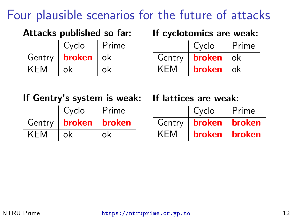|  | Attacks published so far: |  |  |
|--|---------------------------|--|--|
|--|---------------------------|--|--|

|            | Cyclo       | Prime |
|------------|-------------|-------|
| Gentry     | broken   ok |       |
| <b>KEM</b> | ok          | ok    |

If cyclotomics are weak:

|            | Cyclo  | Prime |
|------------|--------|-------|
| Gentry     | broken | ok    |
| <b>KEM</b> | broken | ok    |

If Gentry's system is weak: If lattices are weak:

|            | Cyclo  | Prime  |
|------------|--------|--------|
| Gentry     | broken | broken |
| <b>KEM</b> | ok     | ok     |

|            | Cyclo         | Prime         |
|------------|---------------|---------------|
| Gentry     | broken        | <b>broken</b> |
| <b>KEM</b> | <b>broken</b> | broken        |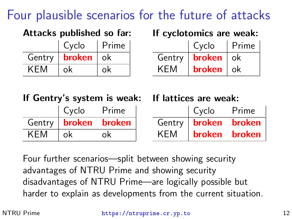|  | Attacks published so far: |  |  |
|--|---------------------------|--|--|
|--|---------------------------|--|--|

|            | Cyclo         | Prime |
|------------|---------------|-------|
| Gentry     | <b>broken</b> | ∣ ok  |
| <b>KEM</b> | ok            | ok    |

If cyclotomics are weak:

|        | Cyclo  | Prime |
|--------|--------|-------|
| Gentry | broken | ok    |
| KEM    | broken | -ok   |

|  | If Gentry's system is weak: |  |  |  |
|--|-----------------------------|--|--|--|
|--|-----------------------------|--|--|--|

|        | Cyclo  | Prime  |
|--------|--------|--------|
| Gentry | broken | broken |
| KEM    | ok     | Ωk     |

If lattices are weak:

|        | Cyclo         | Prime  |
|--------|---------------|--------|
| Gentry | broken        | broken |
| KEM    | <b>broken</b> | broken |

Four further scenarios—split between showing security advantages of NTRU Prime and showing security disadvantages of NTRU Prime—are logically possible but harder to explain as developments from the current situation.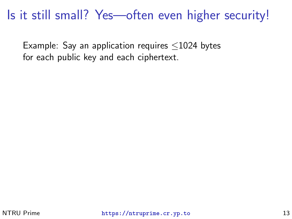#### Is it still small? Yes—often even higher security!

Example: Say an application requires ≤1024 bytes for each public key and each ciphertext.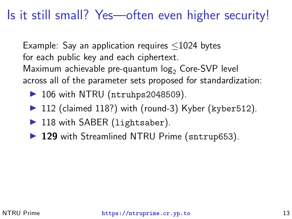#### Is it still small? Yes—often even higher security!

Example: Say an application requires ≤1024 bytes for each public key and each ciphertext. Maximum achievable pre-quantum  $log<sub>2</sub>$  Core-SVP level across all of the parameter sets proposed for standardization:

- $\triangleright$  106 with NTRU (ntruhps2048509).
- $\triangleright$  112 (claimed 118?) with (round-3) Kyber (kyber512).
- $\blacktriangleright$  118 with SABER (lightsaber).
- ▶ 129 with Streamlined NTRU Prime (sntrup653).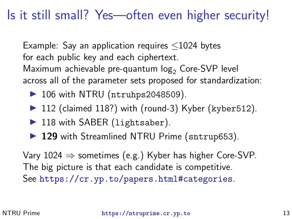#### Is it still small? Yes—often even higher security!

Example: Say an application requires ≤1024 bytes for each public key and each ciphertext. Maximum achievable pre-quantum  $log<sub>2</sub>$  Core-SVP level across all of the parameter sets proposed for standardization:

- $\triangleright$  106 with NTRU (ntruhps2048509).
- $\triangleright$  112 (claimed 118?) with (round-3) Kyber (kyber512).
- $\blacktriangleright$  118 with SABER (lightsaber).
- ▶ 129 with Streamlined NTRU Prime (sntrup653).

Vary  $1024 \Rightarrow$  sometimes (e.g.) Kyber has higher Core-SVP. The big picture is that each candidate is competitive. See <https://cr.yp.to/papers.html#categories>.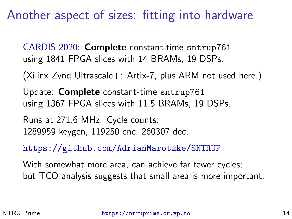#### Another aspect of sizes: fitting into hardware

[CARDIS 2020:](https://eprint.iacr.org/2020/1067) Complete constant-time sntrup761 using 1841 FPGA slices with 14 BRAMs, 19 DSPs.

(Xilinx Zynq Ultrascale+: Artix-7, plus ARM not used here.)

Update: Complete constant-time sntrup761 using 1367 FPGA slices with 11.5 BRAMs, 19 DSPs.

Runs at 271.6 MHz. Cycle counts: 1289959 keygen, 119250 enc, 260307 dec.

<https://github.com/AdrianMarotzke/SNTRUP>

With somewhat more area, can achieve far fewer cycles; but TCO analysis suggests that small area is more important.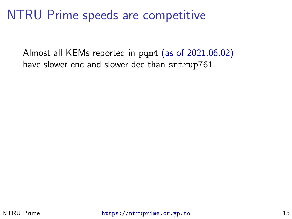#### NTRU Prime speeds are competitive

Almost all KEMs reported in pqm4 [\(as of 2021.06.02\)](https://archive.is/0rrsz) have slower enc and slower dec than sntrup761.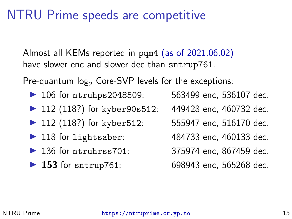#### NTRU Prime speeds are competitive

Almost all KEMs reported in pqm4 [\(as of 2021.06.02\)](https://archive.is/0rrsz) have slower enc and slower dec than sntrup761.

Pre-quantum  $log<sub>2</sub>$  Core-SVP levels for the exceptions:

- ▶ 106 for ntruhps2048509: 563499 enc, 536107 dec.
- $\triangleright$  112 (118?) for kyber 90s 512: 449428 enc, 460732 dec.
- $\triangleright$  112 (118?) for kyber 512: 555947 enc, 516170 dec.
- 
- ▶ 136 for ntruhrss701: 375974 enc. 867459 dec.
- 

- 
- 
- ▶ 118 for lightsaber: 484733 enc, 460133 dec.
	-
- ▶ 153 for sntrup761: 698943 enc, 565268 dec.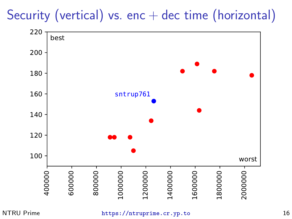# Security (vertical) vs. enc  $+$  dec time (horizontal)



```
NTRU Prime https://ntruprime.cr.yp.to 16
```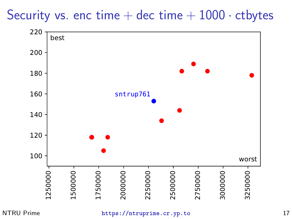#### Security vs. enc time  $+$  dec time  $+$  1000  $\cdot$  ctbytes



#### NTRU Prime <https://ntruprime.cr.yp.to> 17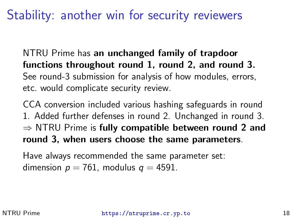#### Stability: another win for security reviewers

NTRU Prime has an unchanged family of trapdoor functions throughout round 1, round 2, and round 3. See round-3 submission for analysis of how modules, errors, etc. would complicate security review.

CCA conversion included various hashing safeguards in round 1. Added further defenses in round 2. Unchanged in round 3.  $\Rightarrow$  NTRU Prime is fully compatible between round 2 and round 3, when users choose the same parameters.

Have always recommended the same parameter set: dimension  $p = 761$ , modulus  $q = 4591$ .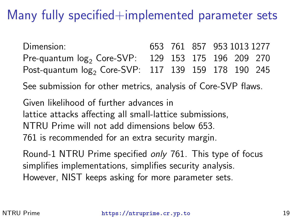#### Many fully specified $+$ implemented parameter sets

Dimension: 653 761 857 953 1013 1277 Pre-quantum  $log_2$  Core-SVP: 129 153 175 196 209 270 Post-quantum log<sub>2</sub> Core-SVP: 117 139 159 178 190 245

See submission for other metrics, analysis of Core-SVP flaws.

Given likelihood of further advances in lattice attacks affecting all small-lattice submissions, NTRU Prime will not add dimensions below 653. 761 is recommended for an extra security margin.

Round-1 NTRU Prime specified only 761. This type of focus simplifies implementations, simplifies security analysis. However, NIST keeps asking for more parameter sets.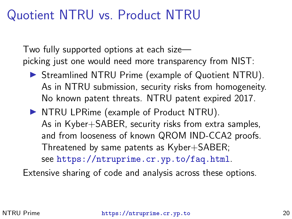#### Quotient NTRU vs. Product NTRU

Two fully supported options at each size picking just one would need more transparency from NIST:

- $\triangleright$  Streamlined NTRU Prime (example of Quotient NTRU). As in NTRU submission, security risks from homogeneity. No known patent threats. NTRU patent expired 2017.
- $\triangleright$  NTRU LPRime (example of Product NTRU). As in Kyber+SABER, security risks from extra samples, and from looseness of known QROM IND-CCA2 proofs. Threatened by same patents as Kyber+SABER; see <https://ntruprime.cr.yp.to/faq.html>.

Extensive sharing of code and analysis across these options.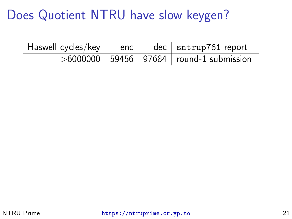| Haswell cycles/key | enc | $dec$ sntrup761 report                    |
|--------------------|-----|-------------------------------------------|
|                    |     | $>6000000$ 59456 97684 round-1 submission |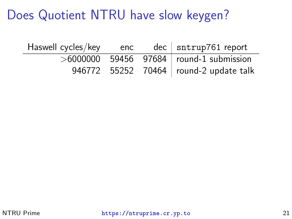| Haswell cycles/key | enc | $dec$ sntrup761 report                    |
|--------------------|-----|-------------------------------------------|
|                    |     | $>6000000$ 59456 97684 round-1 submission |
|                    |     | 946772 55252 70464   round-2 update talk  |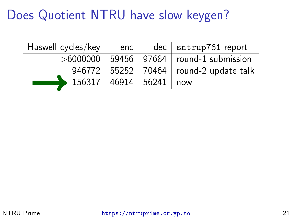| $>6000000$ 59456 97684 round-1 submission |
|-------------------------------------------|
| 946772 55252 70464   round-2 update talk  |
|                                           |
|                                           |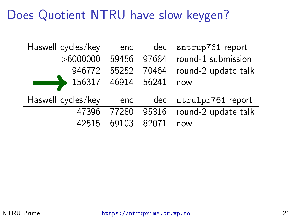| Haswell cycles/key | enc   | dec   | sntrup761 report    |
|--------------------|-------|-------|---------------------|
| >6000000           | 59456 | 97684 | round-1 submission  |
| 946772             | 55252 | 70464 | round-2 update talk |
| 156317             | 46914 | 56241 | now                 |
| Haswell cycles/key | enc   | $dec$ | ntrulpr761 report   |
| 47396              | 77280 | 95316 | round-2 update talk |
| 42515              | 69103 | 82071 | now                 |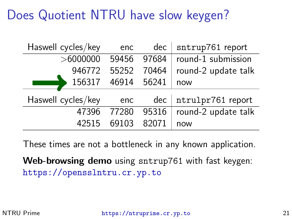| Haswell cycles/key | enc   | dec   | sntrup761 report        |
|--------------------|-------|-------|-------------------------|
| > 6000000          | 59456 | 97684 | round-1 submission      |
| 946772             | 55252 | 70464 | round-2 update talk     |
| 156317             | 46914 | 56241 | now                     |
| Haswell cycles/key | enc   |       | dec   ntrulpr761 report |
| 47396              | 77280 | 95316 | round-2 update talk     |
| 42515              | 69103 | 82071 | now                     |

These times are not a bottleneck in any known application.

Web-browsing demo using sntrup761 with fast keygen: <https://opensslntru.cr.yp.to>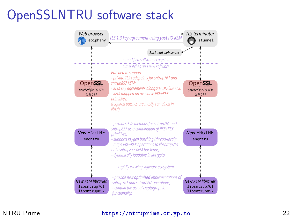## OpenSSLNTRU software stack



#### NTRU Prime <https://ntruprime.cr.yp.to> 22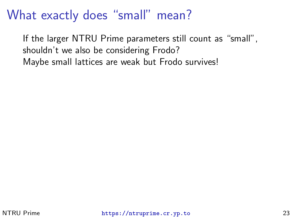#### What exactly does "small" mean?

If the larger NTRU Prime parameters still count as "small", shouldn't we also be considering Frodo? Maybe small lattices are weak but Frodo survives!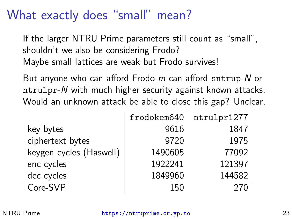#### What exactly does "small" mean?

If the larger NTRU Prime parameters still count as "small", shouldn't we also be considering Frodo? Maybe small lattices are weak but Frodo survives!

But anyone who can afford Frodo-m can afford sntrup-N or ntrulpr-N with much higher security against known attacks. Would an unknown attack be able to close this gap? Unclear.

|                         | frodokem640 | ntrulpr1277 |
|-------------------------|-------------|-------------|
| key bytes               | 9616        | 1847        |
| ciphertext bytes        | 9720        | 1975        |
| keygen cycles (Haswell) | 1490605     | 77092       |
| enc cycles              | 1922241     | 121397      |
| dec cycles              | 1849960     | 144582      |
| Core-SVP                | 150         | 270         |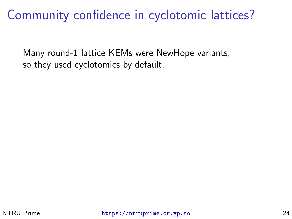#### Community confidence in cyclotomic lattices?

Many round-1 lattice KEMs were NewHope variants, so they used cyclotomics by default.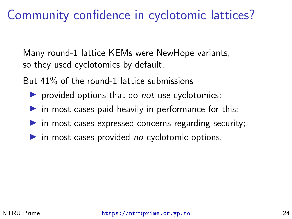#### Community confidence in cyclotomic lattices?

Many round-1 lattice KEMs were NewHope variants, so they used cyclotomics by default.

But 41% of the round-1 lattice submissions

- $\triangleright$  provided options that do *not* use cyclotomics;
- $\triangleright$  in most cases paid heavily in performance for this;
- $\triangleright$  in most cases expressed concerns regarding security;
- $\triangleright$  in most cases provided no cyclotomic options.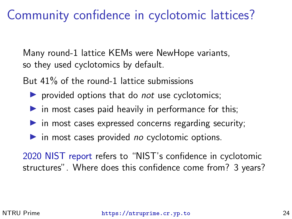#### Community confidence in cyclotomic lattices?

Many round-1 lattice KEMs were NewHope variants, so they used cyclotomics by default.

But 41% of the round-1 lattice submissions

- $\triangleright$  provided options that do *not* use cyclotomics;
- $\triangleright$  in most cases paid heavily in performance for this;
- $\triangleright$  in most cases expressed concerns regarding security;
- $\triangleright$  in most cases provided no cyclotomic options.

[2020 NIST report](https://nvlpubs.nist.gov/nistpubs/ir/2020/NIST.IR.8309.pdf) refers to "NIST's confidence in cyclotomic structures". Where does this confidence come from? 3 years?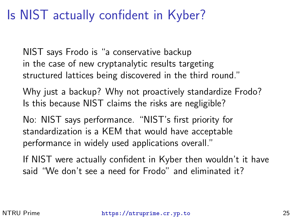#### Is NIST actually confident in Kyber?

NIST says Frodo is "a conservative backup in the case of new cryptanalytic results targeting structured lattices being discovered in the third round."

Why just a backup? Why not proactively standardize Frodo? Is this because NIST claims the risks are negligible?

No: NIST says performance. "NIST's first priority for standardization is a KEM that would have acceptable performance in widely used applications overall."

If NIST were actually confident in Kyber then wouldn't it have said "We don't see a need for Frodo" and eliminated it?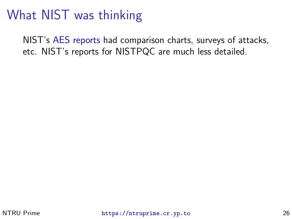### What NIST was thinking

NIST's [AES](https://nvlpubs.nist.gov/nistpubs/jres/104/5/j45nec.pdf) [reports](https://nvlpubs.nist.gov/nistpubs/jres/106/3/j63nec.pdf) had comparison charts, surveys of attacks, etc. NIST's reports for NISTPQC are much less detailed.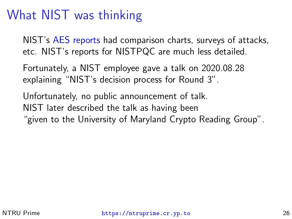### What NIST was thinking

NIST's [AES](https://nvlpubs.nist.gov/nistpubs/jres/104/5/j45nec.pdf) [reports](https://nvlpubs.nist.gov/nistpubs/jres/106/3/j63nec.pdf) had comparison charts, surveys of attacks, etc. NIST's reports for NISTPQC are much less detailed.

Fortunately, a NIST employee gave a talk on 2020.08.28 explaining "NIST's decision process for Round 3".

Unfortunately, no public announcement of talk. NIST later described the talk as having been "given to the University of Maryland Crypto Reading Group".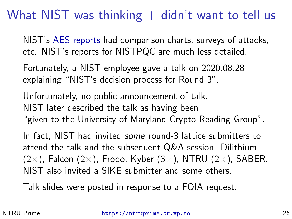### What NIST was thinking  $+$  didn't want to tell us

NIST's [AES](https://nvlpubs.nist.gov/nistpubs/jres/104/5/j45nec.pdf) [reports](https://nvlpubs.nist.gov/nistpubs/jres/106/3/j63nec.pdf) had comparison charts, surveys of attacks, etc. NIST's reports for NISTPQC are much less detailed.

Fortunately, a NIST employee gave a talk on 2020.08.28 explaining "NIST's decision process for Round 3".

Unfortunately, no public announcement of talk. NIST later described the talk as having been "given to the University of Maryland Crypto Reading Group".

In fact. NIST had invited *some* round-3 lattice submitters to attend the talk and the subsequent Q&A session: Dilithium  $(2\times)$ , Falcon  $(2\times)$ , Frodo, Kyber  $(3\times)$ , NTRU  $(2\times)$ , SABER. NIST also invited a SIKE submitter and some others.

Talk slides were posted in response to a FOIA request.

NTRU Prime <https://ntruprime.cr.yp.to> 26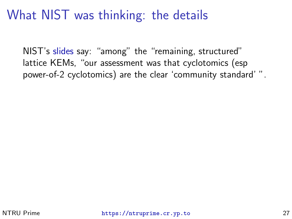NIST's [slides](https://archive.is/RG14h) say: "among" the "remaining, structured" lattice KEMs, "our assessment was that cyclotomics (esp power-of-2 cyclotomics) are the clear 'community standard' ".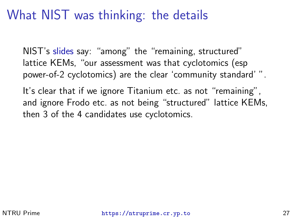NIST's [slides](https://archive.is/RG14h) say: "among" the "remaining, structured" lattice KEMs, "our assessment was that cyclotomics (esp power-of-2 cyclotomics) are the clear 'community standard' ".

It's clear that if we ignore Titanium etc. as not "remaining", and ignore Frodo etc. as not being "structured" lattice KEMs, then 3 of the 4 candidates use cyclotomics.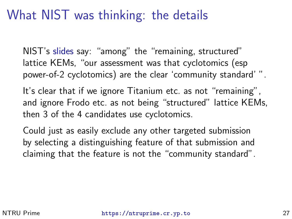NIST's [slides](https://archive.is/RG14h) say: "among" the "remaining, structured" lattice KEMs, "our assessment was that cyclotomics (esp power-of-2 cyclotomics) are the clear 'community standard' ".

It's clear that if we ignore Titanium etc. as not "remaining", and ignore Frodo etc. as not being "structured" lattice KEMs, then 3 of the 4 candidates use cyclotomics.

Could just as easily exclude any other targeted submission by selecting a distinguishing feature of that submission and claiming that the feature is not the "community standard".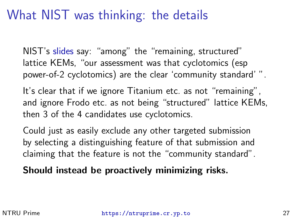NIST's [slides](https://archive.is/RG14h) say: "among" the "remaining, structured" lattice KEMs, "our assessment was that cyclotomics (esp power-of-2 cyclotomics) are the clear 'community standard' ".

It's clear that if we ignore Titanium etc. as not "remaining", and ignore Frodo etc. as not being "structured" lattice KEMs, then 3 of the 4 candidates use cyclotomics.

Could just as easily exclude any other targeted submission by selecting a distinguishing feature of that submission and claiming that the feature is not the "community standard".

Should instead be proactively minimizing risks.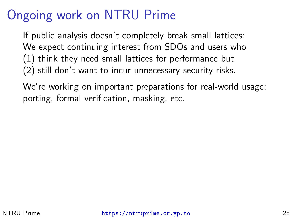## Ongoing work on NTRU Prime

If public analysis doesn't completely break small lattices: We expect continuing interest from SDOs and users who (1) think they need small lattices for performance but (2) still don't want to incur unnecessary security risks.

We're working on important preparations for real-world usage: porting, formal verification, masking, etc.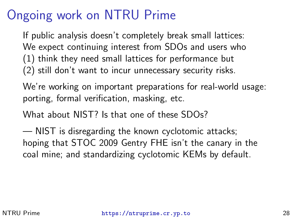## Ongoing work on NTRU Prime

If public analysis doesn't completely break small lattices: We expect continuing interest from SDOs and users who (1) think they need small lattices for performance but (2) still don't want to incur unnecessary security risks.

We're working on important preparations for real-world usage: porting, formal verification, masking, etc.

What about NIST? Is that one of these SDOs?

— NIST is disregarding the known cyclotomic attacks; hoping that STOC 2009 Gentry FHE isn't the canary in the coal mine; and standardizing cyclotomic KEMs by default.